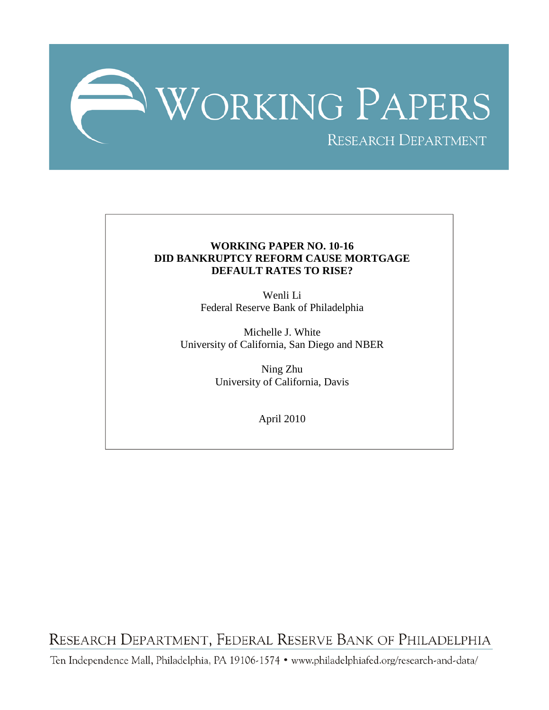

## **WORKING PAPER NO. 10-16 DID BANKRUPTCY REFORM CAUSE MORTGAGE DEFAULT RATES TO RISE?**

Wenli Li Federal Reserve Bank of Philadelphia

Michelle J. White University of California, San Diego and NBER

> Ning Zhu University of California, Davis

> > April 2010

RESEARCH DEPARTMENT, FEDERAL RESERVE BANK OF PHILADELPHIA

Ten Independence Mall, Philadelphia, PA 19106-1574 · www.philadelphiafed.org/research-and-data/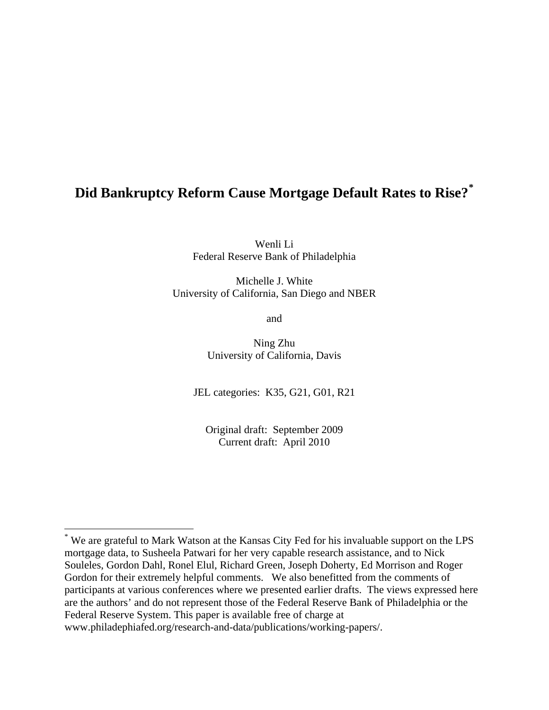# **Did Bankruptcy Reform Cause Mortgage Default Rates to Rise?[\\*](#page-1-0)**

Wenli Li Federal Reserve Bank of Philadelphia

Michelle J. White University of California, San Diego and NBER

and

Ning Zhu University of California, Davis

JEL categories: K35, G21, G01, R21

Original draft: September 2009 Current draft: April 2010

<span id="page-1-0"></span><sup>\*</sup> We are grateful to Mark Watson at the Kansas City Fed for his invaluable support on the LPS mortgage data, to Susheela Patwari for her very capable research assistance, and to Nick Souleles, Gordon Dahl, Ronel Elul, Richard Green, Joseph Doherty, Ed Morrison and Roger Gordon for their extremely helpful comments. We also benefitted from the comments of participants at various conferences where we presented earlier drafts. The views expressed here are the authors' and do not represent those of the Federal Reserve Bank of Philadelphia or the Federal Reserve System. This paper is available free of charge at www.philadephiafed.org/research-and-data/publications/working-papers/.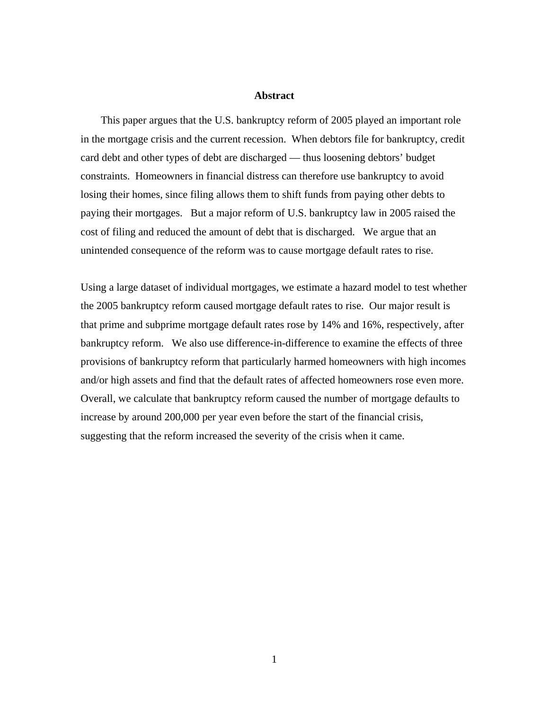#### **Abstract**

This paper argues that the U.S. bankruptcy reform of 2005 played an important role in the mortgage crisis and the current recession. When debtors file for bankruptcy, credit card debt and other types of debt are discharged — thus loosening debtors' budget constraints. Homeowners in financial distress can therefore use bankruptcy to avoid losing their homes, since filing allows them to shift funds from paying other debts to paying their mortgages. But a major reform of U.S. bankruptcy law in 2005 raised the cost of filing and reduced the amount of debt that is discharged. We argue that an unintended consequence of the reform was to cause mortgage default rates to rise.

Using a large dataset of individual mortgages, we estimate a hazard model to test whether the 2005 bankruptcy reform caused mortgage default rates to rise. Our major result is that prime and subprime mortgage default rates rose by 14% and 16%, respectively, after bankruptcy reform. We also use difference-in-difference to examine the effects of three provisions of bankruptcy reform that particularly harmed homeowners with high incomes and/or high assets and find that the default rates of affected homeowners rose even more. Overall, we calculate that bankruptcy reform caused the number of mortgage defaults to increase by around 200,000 per year even before the start of the financial crisis, suggesting that the reform increased the severity of the crisis when it came.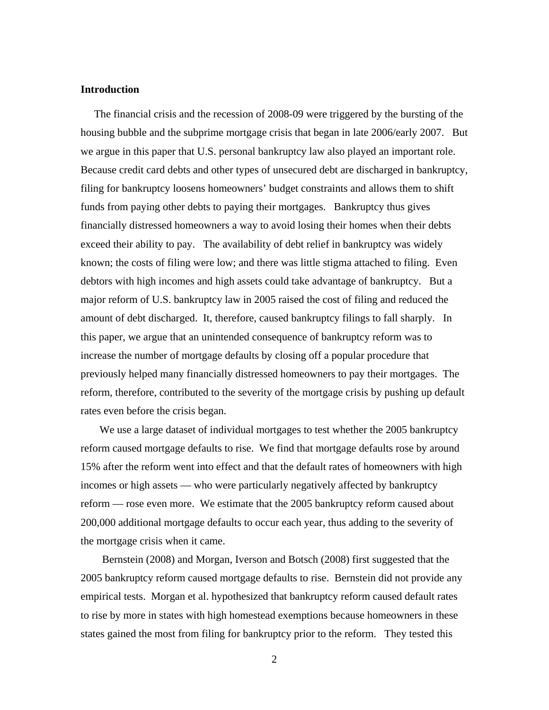#### **Introduction**

 The financial crisis and the recession of 2008-09 were triggered by the bursting of the housing bubble and the subprime mortgage crisis that began in late 2006/early 2007. But we argue in this paper that U.S. personal bankruptcy law also played an important role. Because credit card debts and other types of unsecured debt are discharged in bankruptcy, filing for bankruptcy loosens homeowners' budget constraints and allows them to shift funds from paying other debts to paying their mortgages. Bankruptcy thus gives financially distressed homeowners a way to avoid losing their homes when their debts exceed their ability to pay. The availability of debt relief in bankruptcy was widely known; the costs of filing were low; and there was little stigma attached to filing. Even debtors with high incomes and high assets could take advantage of bankruptcy. But a major reform of U.S. bankruptcy law in 2005 raised the cost of filing and reduced the amount of debt discharged. It, therefore, caused bankruptcy filings to fall sharply. In this paper, we argue that an unintended consequence of bankruptcy reform was to increase the number of mortgage defaults by closing off a popular procedure that previously helped many financially distressed homeowners to pay their mortgages. The reform, therefore, contributed to the severity of the mortgage crisis by pushing up default rates even before the crisis began.

 We use a large dataset of individual mortgages to test whether the 2005 bankruptcy reform caused mortgage defaults to rise. We find that mortgage defaults rose by around 15% after the reform went into effect and that the default rates of homeowners with high incomes or high assets — who were particularly negatively affected by bankruptcy reform — rose even more. We estimate that the 2005 bankruptcy reform caused about 200,000 additional mortgage defaults to occur each year, thus adding to the severity of the mortgage crisis when it came.

 Bernstein (2008) and Morgan, Iverson and Botsch (2008) first suggested that the 2005 bankruptcy reform caused mortgage defaults to rise. Bernstein did not provide any empirical tests. Morgan et al. hypothesized that bankruptcy reform caused default rates to rise by more in states with high homestead exemptions because homeowners in these states gained the most from filing for bankruptcy prior to the reform. They tested this

2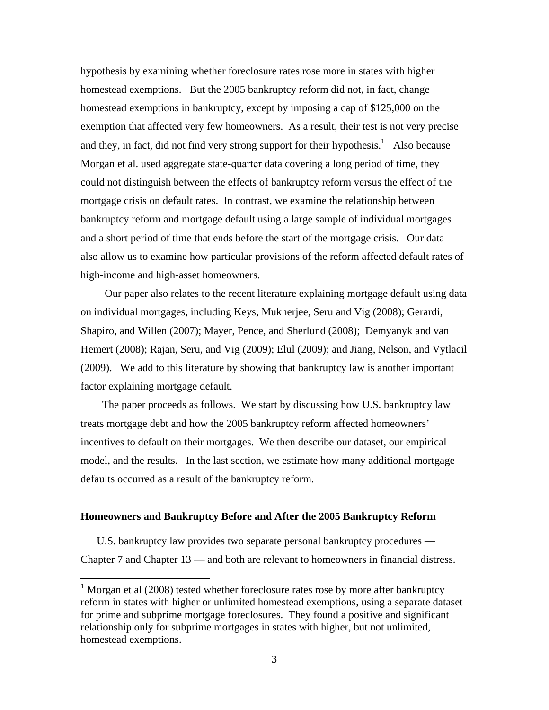hypothesis by examining whether foreclosure rates rose more in states with higher homestead exemptions. But the 2005 bankruptcy reform did not, in fact, change homestead exemptions in bankruptcy, except by imposing a cap of \$125,000 on the exemption that affected very few homeowners. As a result, their test is not very precise and they, in fact, did not find very strong support for their hypothesis.<sup>[1](#page-4-0)</sup> Also because Morgan et al. used aggregate state-quarter data covering a long period of time, they could not distinguish between the effects of bankruptcy reform versus the effect of the mortgage crisis on default rates. In contrast, we examine the relationship between bankruptcy reform and mortgage default using a large sample of individual mortgages and a short period of time that ends before the start of the mortgage crisis. Our data also allow us to examine how particular provisions of the reform affected default rates of high-income and high-asset homeowners.

 Our paper also relates to the recent literature explaining mortgage default using data on individual mortgages, including Keys, Mukherjee, Seru and Vig (2008); Gerardi, Shapiro, and Willen (2007); Mayer, Pence, and Sherlund (2008); Demyanyk and van Hemert (2008); Rajan, Seru, and Vig (2009); Elul (2009); and Jiang, Nelson, and Vytlacil (2009). We add to this literature by showing that bankruptcy law is another important factor explaining mortgage default.

 The paper proceeds as follows. We start by discussing how U.S. bankruptcy law treats mortgage debt and how the 2005 bankruptcy reform affected homeowners' incentives to default on their mortgages. We then describe our dataset, our empirical model, and the results. In the last section, we estimate how many additional mortgage defaults occurred as a result of the bankruptcy reform.

#### **Homeowners and Bankruptcy Before and After the 2005 Bankruptcy Reform**

 U.S. bankruptcy law provides two separate personal bankruptcy procedures — Chapter 7 and Chapter 13 — and both are relevant to homeowners in financial distress.

<span id="page-4-0"></span><sup>&</sup>lt;sup>1</sup> Morgan et al (2008) tested whether foreclosure rates rose by more after bankruptcy reform in states with higher or unlimited homestead exemptions, using a separate dataset for prime and subprime mortgage foreclosures. They found a positive and significant relationship only for subprime mortgages in states with higher, but not unlimited, homestead exemptions.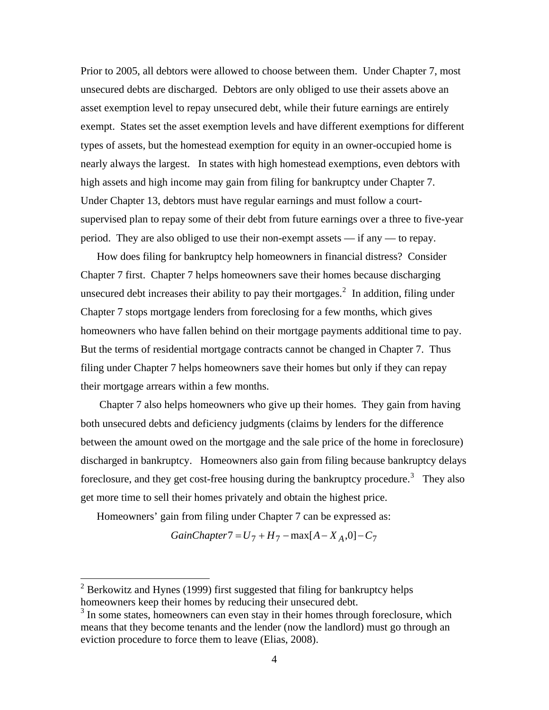Prior to 2005, all debtors were allowed to choose between them. Under Chapter 7, most unsecured debts are discharged. Debtors are only obliged to use their assets above an asset exemption level to repay unsecured debt, while their future earnings are entirely exempt. States set the asset exemption levels and have different exemptions for different types of assets, but the homestead exemption for equity in an owner-occupied home is nearly always the largest. In states with high homestead exemptions, even debtors with high assets and high income may gain from filing for bankruptcy under Chapter 7. Under Chapter 13, debtors must have regular earnings and must follow a courtsupervised plan to repay some of their debt from future earnings over a three to five-year period. They are also obliged to use their non-exempt assets — if any — to repay.

 How does filing for bankruptcy help homeowners in financial distress? Consider Chapter 7 first. Chapter 7 helps homeowners save their homes because discharging unsecured debt increases their ability to pay their mortgages.<sup>[2](#page-5-0)</sup> In addition, filing under Chapter 7 stops mortgage lenders from foreclosing for a few months, which gives homeowners who have fallen behind on their mortgage payments additional time to pay. But the terms of residential mortgage contracts cannot be changed in Chapter 7. Thus filing under Chapter 7 helps homeowners save their homes but only if they can repay their mortgage arrears within a few months.

 Chapter 7 also helps homeowners who give up their homes. They gain from having both unsecured debts and deficiency judgments (claims by lenders for the difference between the amount owed on the mortgage and the sale price of the home in foreclosure) discharged in bankruptcy. Homeowners also gain from filing because bankruptcy delays foreclosure, and they get cost-free housing during the bankruptcy procedure.<sup>[3](#page-5-1)</sup> They also get more time to sell their homes privately and obtain the highest price.

Homeowners' gain from filing under Chapter 7 can be expressed as:

$$
GainChapter7 = U_7 + H_7 - \max[A - X_A, 0] - C_7
$$

<span id="page-5-0"></span> $2^2$  Berkowitz and Hynes (1999) first suggested that filing for bankruptcy helps homeowners keep their homes by reducing their unsecured debt.

<span id="page-5-1"></span><sup>&</sup>lt;sup>3</sup> In some states, homeowners can even stay in their homes through foreclosure, which means that they become tenants and the lender (now the landlord) must go through an eviction procedure to force them to leave (Elias, 2008).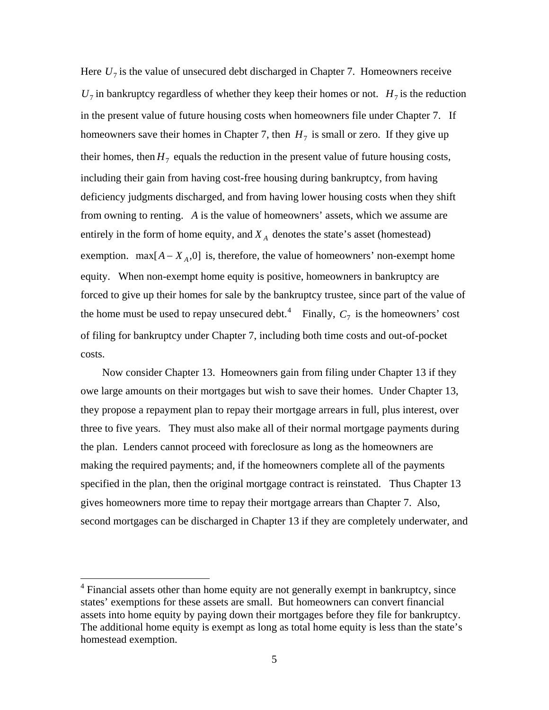Here  $U_7$  is the value of unsecured debt discharged in Chapter 7. Homeowners receive  $U_7$  in bankruptcy regardless of whether they keep their homes or not.  $H_7$  is the reduction in the present value of future housing costs when homeowners file under Chapter 7. If homeowners save their homes in Chapter 7, then  $H_7$  is small or zero. If they give up their homes, then  $H_7$  equals the reduction in the present value of future housing costs, including their gain from having cost-free housing during bankruptcy, from having deficiency judgments discharged, and from having lower housing costs when they shift from owning to renting. *A* is the value of homeowners' assets, which we assume are entirely in the form of home equity, and  $X_A$  denotes the state's asset (homestead) exemption.  $max[A - X_A, 0]$  is, therefore, the value of homeowners' non-exempt home equity. When non-exempt home equity is positive, homeowners in bankruptcy are forced to give up their homes for sale by the bankruptcy trustee, since part of the value of the home must be used to repay unsecured debt.<sup>[4](#page-6-0)</sup> Finally,  $C_7$  is the homeowners' cost of filing for bankruptcy under Chapter 7, including both time costs and out-of-pocket costs.

 Now consider Chapter 13. Homeowners gain from filing under Chapter 13 if they owe large amounts on their mortgages but wish to save their homes. Under Chapter 13, they propose a repayment plan to repay their mortgage arrears in full, plus interest, over three to five years. They must also make all of their normal mortgage payments during the plan. Lenders cannot proceed with foreclosure as long as the homeowners are making the required payments; and, if the homeowners complete all of the payments specified in the plan, then the original mortgage contract is reinstated. Thus Chapter 13 gives homeowners more time to repay their mortgage arrears than Chapter 7. Also, second mortgages can be discharged in Chapter 13 if they are completely underwater, and

<span id="page-6-0"></span><sup>&</sup>lt;sup>4</sup> Financial assets other than home equity are not generally exempt in bankruptcy, since states' exemptions for these assets are small. But homeowners can convert financial assets into home equity by paying down their mortgages before they file for bankruptcy. The additional home equity is exempt as long as total home equity is less than the state's homestead exemption.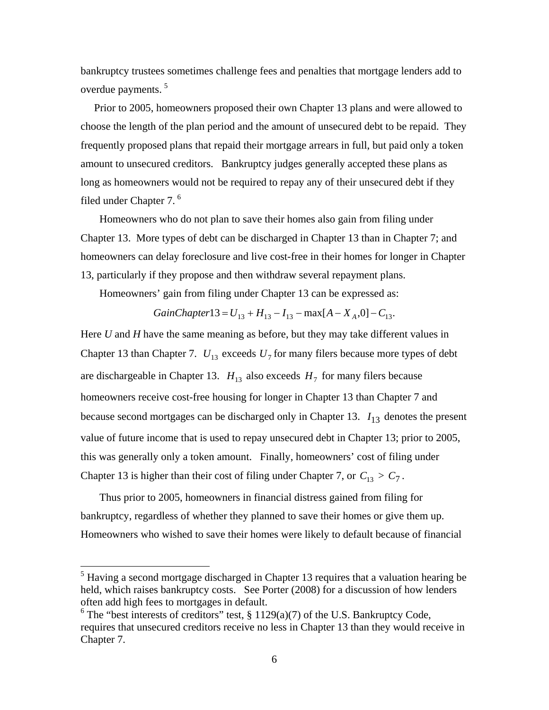bankruptcy trustees sometimes challenge fees and penalties that mortgage lenders add to overdue payments.<sup>[5](#page-7-0)</sup>

 Prior to 2005, homeowners proposed their own Chapter 13 plans and were allowed to choose the length of the plan period and the amount of unsecured debt to be repaid. They frequently proposed plans that repaid their mortgage arrears in full, but paid only a token amount to unsecured creditors. Bankruptcy judges generally accepted these plans as long as homeowners would not be required to repay any of their unsecured debt if they filed under Chapter 7.<sup>[6](#page-7-1)</sup>

 Homeowners who do not plan to save their homes also gain from filing under Chapter 13. More types of debt can be discharged in Chapter 13 than in Chapter 7; and homeowners can delay foreclosure and live cost-free in their homes for longer in Chapter 13, particularly if they propose and then withdraw several repayment plans.

Homeowners' gain from filing under Chapter 13 can be expressed as:

$$
GainChapter13 = U_{13} + H_{13} - I_{13} - \max[A - X_A, 0] - C_{13}.
$$

Here *U* and *H* have the same meaning as before, but they may take different values in Chapter 13 than Chapter 7.  $U_{13}$  exceeds  $U_7$  for many filers because more types of debt are dischargeable in Chapter 13.  $H_{13}$  also exceeds  $H_7$  for many filers because homeowners receive cost-free housing for longer in Chapter 13 than Chapter 7 and because second mortgages can be discharged only in Chapter 13.  $I_{13}$  denotes the present value of future income that is used to repay unsecured debt in Chapter 13; prior to 2005, this was generally only a token amount. Finally, homeowners' cost of filing under Chapter 13 is higher than their cost of filing under Chapter 7, or  $C_{13} > C_7$ .

 Thus prior to 2005, homeowners in financial distress gained from filing for bankruptcy, regardless of whether they planned to save their homes or give them up. Homeowners who wished to save their homes were likely to default because of financial

<span id="page-7-0"></span><sup>&</sup>lt;sup>5</sup> Having a second mortgage discharged in Chapter 13 requires that a valuation hearing be held, which raises bankruptcy costs. See Porter (2008) for a discussion of how lenders often add high fees to mortgages in default.

<span id="page-7-1"></span> $6$  The "best interests of creditors" test, § 1129(a)(7) of the U.S. Bankruptcy Code, requires that unsecured creditors receive no less in Chapter 13 than they would receive in Chapter 7.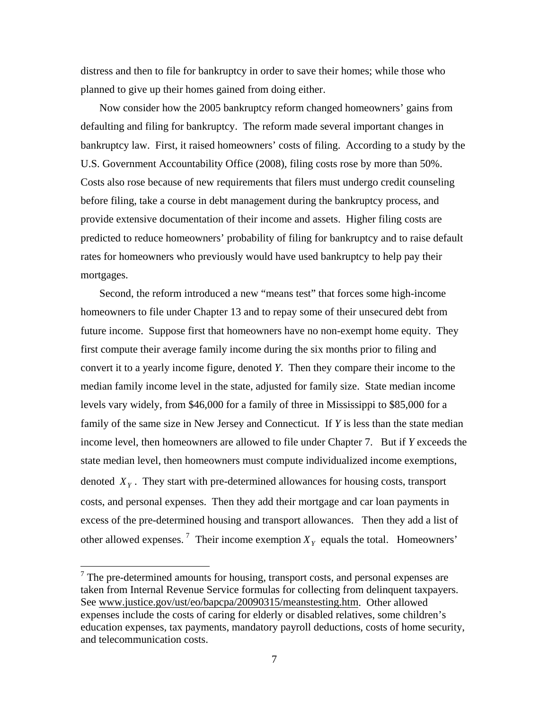distress and then to file for bankruptcy in order to save their homes; while those who planned to give up their homes gained from doing either.

 Now consider how the 2005 bankruptcy reform changed homeowners' gains from defaulting and filing for bankruptcy. The reform made several important changes in bankruptcy law. First, it raised homeowners' costs of filing. According to a study by the U.S. Government Accountability Office (2008), filing costs rose by more than 50%. Costs also rose because of new requirements that filers must undergo credit counseling before filing, take a course in debt management during the bankruptcy process, and provide extensive documentation of their income and assets. Higher filing costs are predicted to reduce homeowners' probability of filing for bankruptcy and to raise default rates for homeowners who previously would have used bankruptcy to help pay their mortgages.

 Second, the reform introduced a new "means test" that forces some high-income homeowners to file under Chapter 13 and to repay some of their unsecured debt from future income. Suppose first that homeowners have no non-exempt home equity. They first compute their average family income during the six months prior to filing and convert it to a yearly income figure, denoted *Y*. Then they compare their income to the median family income level in the state, adjusted for family size. State median income levels vary widely, from \$46,000 for a family of three in Mississippi to \$85,000 for a family of the same size in New Jersey and Connecticut. If *Y* is less than the state median income level, then homeowners are allowed to file under Chapter 7. But if *Y* exceeds the state median level, then homeowners must compute individualized income exemptions, denoted  $X<sub>y</sub>$ . They start with pre-determined allowances for housing costs, transport costs, and personal expenses. Then they add their mortgage and car loan payments in excess of the pre-determined housing and transport allowances. Then they add a list of other allowed expenses.<sup>[7](#page-8-0)</sup> Their income exemption  $X<sub>Y</sub>$  equals the total. Homeowners'

<span id="page-8-0"></span> $<sup>7</sup>$  The pre-determined amounts for housing, transport costs, and personal expenses are</sup> taken from Internal Revenue Service formulas for collecting from delinquent taxpayers. See www.justice.gov/ust/eo/bapcpa/20090315/meanstesting.htm. Other allowed expenses include the costs of caring for elderly or disabled relatives, some children's education expenses, tax payments, mandatory payroll deductions, costs of home security, and telecommunication costs.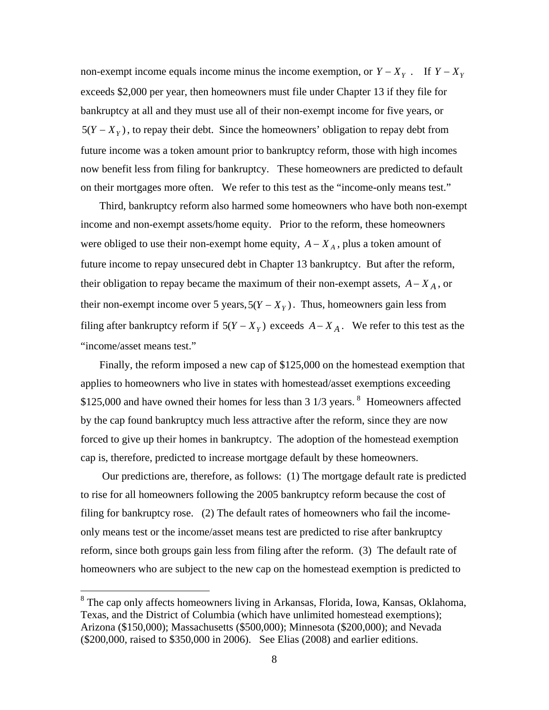non-exempt income equals income minus the income exemption, or  $Y - X_Y$ . If  $Y - X_Y$ exceeds \$2,000 per year, then homeowners must file under Chapter 13 if they file for bankruptcy at all and they must use all of their non-exempt income for five years, or  $5(Y - X<sub>Y</sub>)$ , to repay their debt. Since the homeowners' obligation to repay debt from future income was a token amount prior to bankruptcy reform, those with high incomes now benefit less from filing for bankruptcy. These homeowners are predicted to default on their mortgages more often. We refer to this test as the "income-only means test."

 Third, bankruptcy reform also harmed some homeowners who have both non-exempt income and non-exempt assets/home equity. Prior to the reform, these homeowners were obliged to use their non-exempt home equity,  $A - X_A$ , plus a token amount of future income to repay unsecured debt in Chapter 13 bankruptcy. But after the reform, their obligation to repay became the maximum of their non-exempt assets,  $A - X_A$ , or their non-exempt income over 5 years,  $5(Y - X<sub>Y</sub>)$ . Thus, homeowners gain less from filing after bankruptcy reform if  $5(Y - X_Y)$  exceeds  $A - X_A$ . We refer to this test as the "income/asset means test."

 Finally, the reform imposed a new cap of \$125,000 on the homestead exemption that applies to homeowners who live in states with homestead/asset exemptions exceeding  $$125,000$  and have owned their homes for less than 3 1/3 years. <sup>[8](#page-9-0)</sup> Homeowners affected by the cap found bankruptcy much less attractive after the reform, since they are now forced to give up their homes in bankruptcy. The adoption of the homestead exemption cap is, therefore, predicted to increase mortgage default by these homeowners.

 Our predictions are, therefore, as follows: (1) The mortgage default rate is predicted to rise for all homeowners following the 2005 bankruptcy reform because the cost of filing for bankruptcy rose. (2) The default rates of homeowners who fail the incomeonly means test or the income/asset means test are predicted to rise after bankruptcy reform, since both groups gain less from filing after the reform. (3) The default rate of homeowners who are subject to the new cap on the homestead exemption is predicted to

<span id="page-9-0"></span><sup>&</sup>lt;sup>8</sup> The cap only affects homeowners living in Arkansas, Florida, Iowa, Kansas, Oklahoma, Texas, and the District of Columbia (which have unlimited homestead exemptions); Arizona (\$150,000); Massachusetts (\$500,000); Minnesota (\$200,000); and Nevada (\$200,000, raised to \$350,000 in 2006). See Elias (2008) and earlier editions.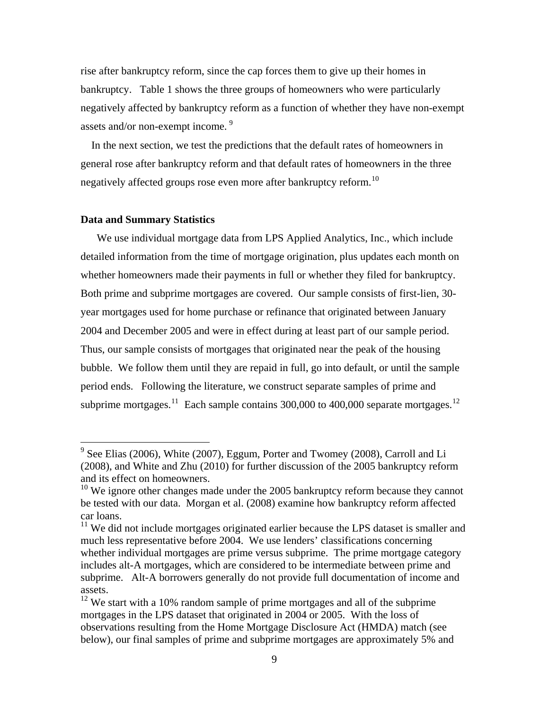rise after bankruptcy reform, since the cap forces them to give up their homes in bankruptcy. Table 1 shows the three groups of homeowners who were particularly negatively affected by bankruptcy reform as a function of whether they have non-exempt assets and/or non-exempt income.<sup>[9](#page-10-0)</sup>

 In the next section, we test the predictions that the default rates of homeowners in general rose after bankruptcy reform and that default rates of homeowners in the three negatively affected groups rose even more after bankruptcy reform.<sup>[10](#page-10-1)</sup>

#### **Data and Summary Statistics**

<u>.</u>

 We use individual mortgage data from LPS Applied Analytics, Inc., which include detailed information from the time of mortgage origination, plus updates each month on whether homeowners made their payments in full or whether they filed for bankruptcy. Both prime and subprime mortgages are covered. Our sample consists of first-lien, 30 year mortgages used for home purchase or refinance that originated between January 2004 and December 2005 and were in effect during at least part of our sample period. Thus, our sample consists of mortgages that originated near the peak of the housing bubble. We follow them until they are repaid in full, go into default, or until the sample period ends. Following the literature, we construct separate samples of prime and subprime mortgages.<sup>[11](#page-10-2)</sup> Each sample contains 300,000 to 400,000 separate mortgages.<sup>[12](#page-10-3)</sup>

<span id="page-10-0"></span> $9^9$  See Elias (2006), White (2007), Eggum, Porter and Twomey (2008), Carroll and Li (2008), and White and Zhu (2010) for further discussion of the 2005 bankruptcy reform and its effect on homeowners.

<span id="page-10-1"></span> $10$  We ignore other changes made under the 2005 bankruptcy reform because they cannot be tested with our data. Morgan et al. (2008) examine how bankruptcy reform affected car loans.

<span id="page-10-2"></span> $11$  We did not include mortgages originated earlier because the LPS dataset is smaller and much less representative before 2004. We use lenders' classifications concerning whether individual mortgages are prime versus subprime. The prime mortgage category includes alt-A mortgages, which are considered to be intermediate between prime and subprime. Alt-A borrowers generally do not provide full documentation of income and assets.

<span id="page-10-3"></span><sup>&</sup>lt;sup>12</sup> We start with a 10% random sample of prime mortgages and all of the subprime mortgages in the LPS dataset that originated in 2004 or 2005. With the loss of observations resulting from the Home Mortgage Disclosure Act (HMDA) match (see below), our final samples of prime and subprime mortgages are approximately 5% and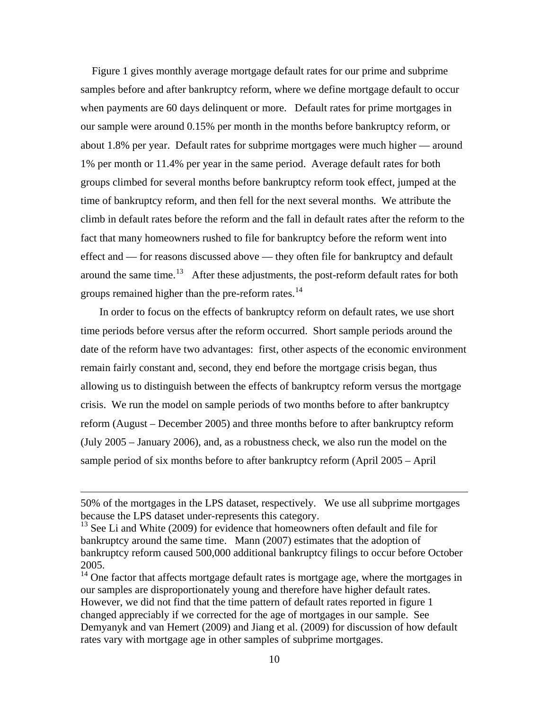Figure 1 gives monthly average mortgage default rates for our prime and subprime samples before and after bankruptcy reform, where we define mortgage default to occur when payments are 60 days delinquent or more. Default rates for prime mortgages in our sample were around 0.15% per month in the months before bankruptcy reform, or about 1.8% per year. Default rates for subprime mortgages were much higher — around 1% per month or 11.4% per year in the same period. Average default rates for both groups climbed for several months before bankruptcy reform took effect, jumped at the time of bankruptcy reform, and then fell for the next several months. We attribute the climb in default rates before the reform and the fall in default rates after the reform to the fact that many homeowners rushed to file for bankruptcy before the reform went into effect and — for reasons discussed above — they often file for bankruptcy and default around the same time.<sup>[13](#page-11-0)</sup> After these adjustments, the post-reform default rates for both groups remained higher than the pre-reform rates.<sup>[14](#page-11-1)</sup>

 In order to focus on the effects of bankruptcy reform on default rates, we use short time periods before versus after the reform occurred. Short sample periods around the date of the reform have two advantages: first, other aspects of the economic environment remain fairly constant and, second, they end before the mortgage crisis began, thus allowing us to distinguish between the effects of bankruptcy reform versus the mortgage crisis. We run the model on sample periods of two months before to after bankruptcy reform (August – December 2005) and three months before to after bankruptcy reform (July 2005 – January 2006), and, as a robustness check, we also run the model on the sample period of six months before to after bankruptcy reform (April 2005 – April

1

<sup>50%</sup> of the mortgages in the LPS dataset, respectively. We use all subprime mortgages because the LPS dataset under-represents this category.

<span id="page-11-0"></span> $13$  See Li and White (2009) for evidence that homeowners often default and file for bankruptcy around the same time. Mann (2007) estimates that the adoption of bankruptcy reform caused 500,000 additional bankruptcy filings to occur before October 2005.

<span id="page-11-1"></span><sup>&</sup>lt;sup>14</sup> One factor that affects mortgage default rates is mortgage age, where the mortgages in our samples are disproportionately young and therefore have higher default rates. However, we did not find that the time pattern of default rates reported in figure 1 changed appreciably if we corrected for the age of mortgages in our sample. See Demyanyk and van Hemert (2009) and Jiang et al. (2009) for discussion of how default rates vary with mortgage age in other samples of subprime mortgages.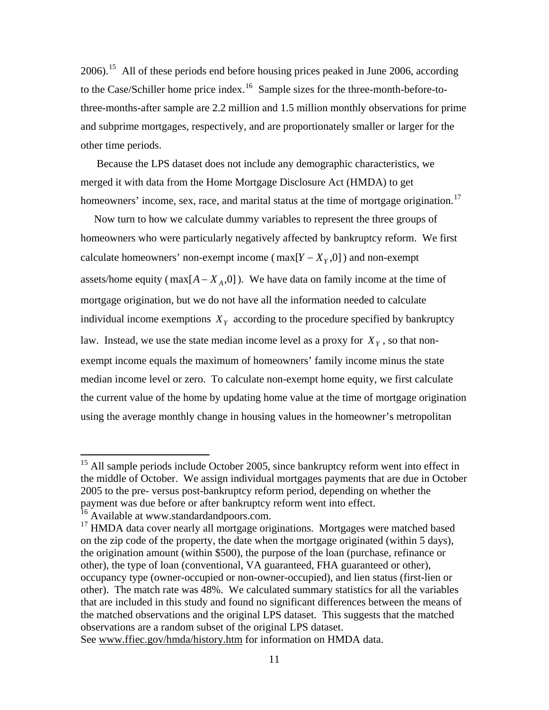2006).[15](#page-12-0) All of these periods end before housing prices peaked in June 2006, according to the Case/Schiller home price index.<sup>[16](#page-12-1)</sup> Sample sizes for the three-month-before-tothree-months-after sample are 2.2 million and 1.5 million monthly observations for prime and subprime mortgages, respectively, and are proportionately smaller or larger for the other time periods.

 Because the LPS dataset does not include any demographic characteristics, we merged it with data from the Home Mortgage Disclosure Act (HMDA) to get homeowners' income, sex, race, and marital status at the time of mortgage origination.<sup>[17](#page-12-2)</sup>

 Now turn to how we calculate dummy variables to represent the three groups of homeowners who were particularly negatively affected by bankruptcy reform. We first calculate homeowners' non-exempt income (max $[Y - X_Y, 0]$ ) and non-exempt assets/home equity ( $max[A - X_A, 0]$ ). We have data on family income at the time of mortgage origination, but we do not have all the information needed to calculate individual income exemptions  $X<sub>Y</sub>$  according to the procedure specified by bankruptcy law. Instead, we use the state median income level as a proxy for  $X<sub>y</sub>$ , so that nonexempt income equals the maximum of homeowners' family income minus the state median income level or zero. To calculate non-exempt home equity, we first calculate the current value of the home by updating home value at the time of mortgage origination using the average monthly change in housing values in the homeowner's metropolitan

<span id="page-12-0"></span> $15$  All sample periods include October 2005, since bankruptcy reform went into effect in the middle of October. We assign individual mortgages payments that are due in October 2005 to the pre- versus post-bankruptcy reform period, depending on whether the payment was due before or after bankruptcy reform went into effect.

<span id="page-12-1"></span><sup>&</sup>lt;sup>16</sup> Available at www.standardandpoors.com.

<span id="page-12-2"></span><sup>&</sup>lt;sup>17</sup> HMDA data cover nearly all mortgage originations. Mortgages were matched based on the zip code of the property, the date when the mortgage originated (within 5 days), the origination amount (within \$500), the purpose of the loan (purchase, refinance or other), the type of loan (conventional, VA guaranteed, FHA guaranteed or other), occupancy type (owner-occupied or non-owner-occupied), and lien status (first-lien or other). The match rate was 48%. We calculated summary statistics for all the variables that are included in this study and found no significant differences between the means of the matched observations and the original LPS dataset. This suggests that the matched observations are a random subset of the original LPS dataset. See [www.ffiec.gov/hmda/history.htm](http://www.ffiec.gov/hmda/history.htm) for information on HMDA data.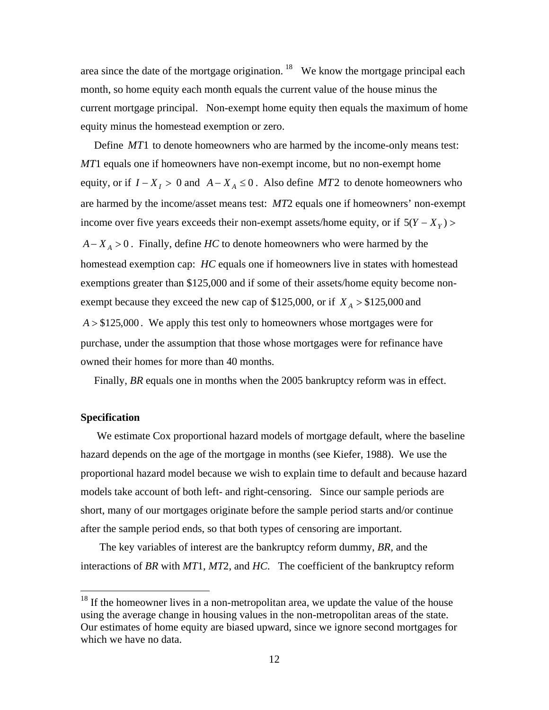area since the date of the mortgage origination.  $18$  We know the mortgage principal each month, so home equity each month equals the current value of the house minus the current mortgage principal. Non-exempt home equity then equals the maximum of home equity minus the homestead exemption or zero.

 Define *MT*1 to denote homeowners who are harmed by the income-only means test: *MT*1 equals one if homeowners have non-exempt income, but no non-exempt home equity, or if  $I - X_I > 0$  and  $A - X_A \leq 0$ . Also define *MT*2 to denote homeowners who are harmed by the income/asset means test: *MT*2 equals one if homeowners' non-exempt income over five years exceeds their non-exempt assets/home equity, or if  $5(Y - X<sub>Y</sub>)$ *A* − *X*<sub>*A*</sub> > 0. Finally, define *HC* to denote homeowners who were harmed by the homestead exemption cap: *HC* equals one if homeowners live in states with homestead exemptions greater than \$125,000 and if some of their assets/home equity become nonexempt because they exceed the new cap of \$125,000, or if  $X_A > $125,000$  and  $A > $125,000$ . We apply this test only to homeowners whose mortgages were for purchase, under the assumption that those whose mortgages were for refinance have owned their homes for more than 40 months.

Finally, *BR* equals one in months when the 2005 bankruptcy reform was in effect.

### **Specification**

 $\overline{a}$ 

We estimate Cox proportional hazard models of mortgage default, where the baseline hazard depends on the age of the mortgage in months (see Kiefer, 1988). We use the proportional hazard model because we wish to explain time to default and because hazard models take account of both left- and right-censoring. Since our sample periods are short, many of our mortgages originate before the sample period starts and/or continue after the sample period ends, so that both types of censoring are important.

 The key variables of interest are the bankruptcy reform dummy, *BR*, and the interactions of *BR* with *MT*1, *MT*2, and *HC*. The coefficient of the bankruptcy reform

<span id="page-13-0"></span> $18$  If the homeowner lives in a non-metropolitan area, we update the value of the house using the average change in housing values in the non-metropolitan areas of the state. Our estimates of home equity are biased upward, since we ignore second mortgages for which we have no data.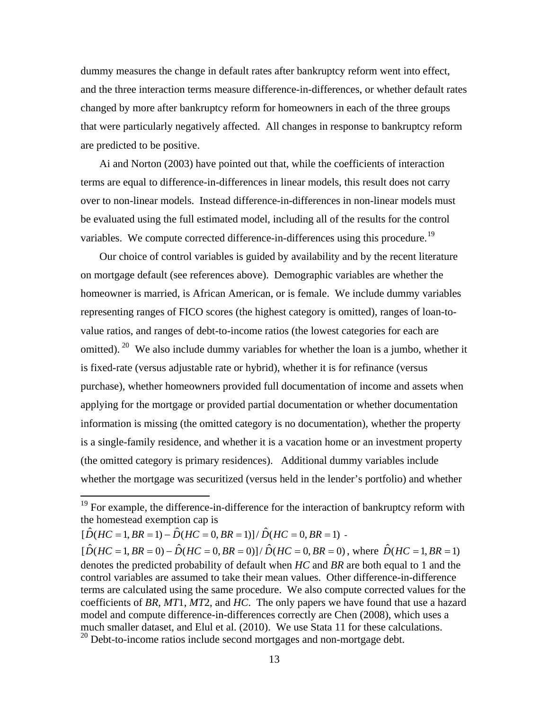dummy measures the change in default rates after bankruptcy reform went into effect, and the three interaction terms measure difference-in-differences, or whether default rates changed by more after bankruptcy reform for homeowners in each of the three groups that were particularly negatively affected. All changes in response to bankruptcy reform are predicted to be positive.

 Ai and Norton (2003) have pointed out that, while the coefficients of interaction terms are equal to difference-in-differences in linear models, this result does not carry over to non-linear models. Instead difference-in-differences in non-linear models must be evaluated using the full estimated model, including all of the results for the control variables. We compute corrected difference-in-differences using this procedure.<sup>[19](#page-14-0)</sup>

 Our choice of control variables is guided by availability and by the recent literature on mortgage default (see references above). Demographic variables are whether the homeowner is married, is African American, or is female. We include dummy variables representing ranges of FICO scores (the highest category is omitted), ranges of loan-tovalue ratios, and ranges of debt-to-income ratios (the lowest categories for each are omitted). <sup>[20](#page-14-1)</sup> We also include dummy variables for whether the loan is a jumbo, whether it is fixed-rate (versus adjustable rate or hybrid), whether it is for refinance (versus purchase), whether homeowners provided full documentation of income and assets when applying for the mortgage or provided partial documentation or whether documentation information is missing (the omitted category is no documentation), whether the property is a single-family residence, and whether it is a vacation home or an investment property (the omitted category is primary residences). Additional dummy variables include whether the mortgage was securitized (versus held in the lender's portfolio) and whether

<span id="page-14-0"></span> $19$  For example, the difference-in-difference for the interaction of bankruptcy reform with the homestead exemption cap is

 $\hat{D}(HC = 1, BR = 1) - \hat{D}(HC = 0, BR = 1)/\hat{D}(HC = 0, BR = 1)$ .

<span id="page-14-1"></span> $[\hat{D}(HC = 1, BR = 0) - \hat{D}(HC = 0, BR = 0)] / \hat{D}(HC = 0, BR = 0)$ , where  $\hat{D}(HC = 1, BR = 1)$ denotes the predicted probability of default when *HC* and *BR* are both equal to 1 and the control variables are assumed to take their mean values. Other difference-in-difference terms are calculated using the same procedure. We also compute corrected values for the coefficients of *BR*, *MT*1, *MT*2, and *HC*. The only papers we have found that use a hazard model and compute difference-in-differences correctly are Chen (2008), which uses a much smaller dataset, and Elul et al. (2010). We use Stata 11 for these calculations. <sup>20</sup> Debt-to-income ratios include second mortgages and non-mortgage debt.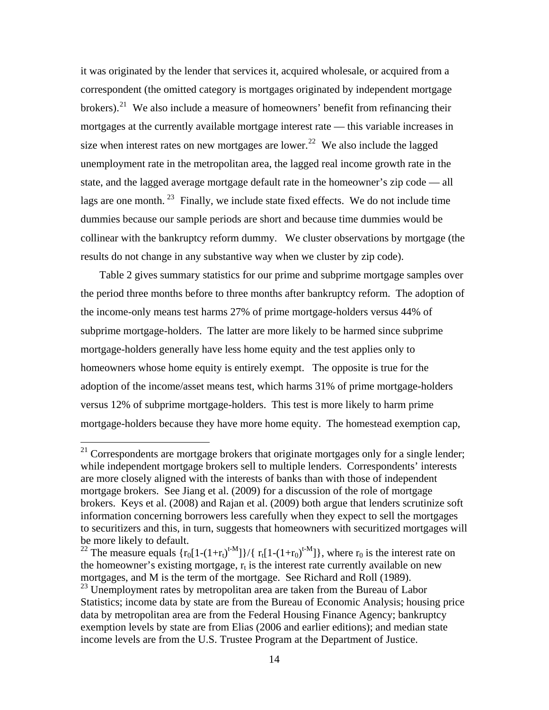it was originated by the lender that services it, acquired wholesale, or acquired from a correspondent (the omitted category is mortgages originated by independent mortgage brokers).<sup>[21](#page-15-0)</sup> We also include a measure of homeowners' benefit from refinancing their mortgages at the currently available mortgage interest rate — this variable increases in size when interest rates on new mortgages are lower.<sup>[22](#page-15-1)</sup> We also include the lagged unemployment rate in the metropolitan area, the lagged real income growth rate in the state, and the lagged average mortgage default rate in the homeowner's zip code — all lags are one month.  $^{23}$  $^{23}$  $^{23}$  Finally, we include state fixed effects. We do not include time dummies because our sample periods are short and because time dummies would be collinear with the bankruptcy reform dummy. We cluster observations by mortgage (the results do not change in any substantive way when we cluster by zip code).

 Table 2 gives summary statistics for our prime and subprime mortgage samples over the period three months before to three months after bankruptcy reform. The adoption of the income-only means test harms 27% of prime mortgage-holders versus 44% of subprime mortgage-holders. The latter are more likely to be harmed since subprime mortgage-holders generally have less home equity and the test applies only to homeowners whose home equity is entirely exempt. The opposite is true for the adoption of the income/asset means test, which harms 31% of prime mortgage-holders versus 12% of subprime mortgage-holders. This test is more likely to harm prime mortgage-holders because they have more home equity. The homestead exemption cap,

<span id="page-15-0"></span> $21$  Correspondents are mortgage brokers that originate mortgages only for a single lender; while independent mortgage brokers sell to multiple lenders. Correspondents' interests are more closely aligned with the interests of banks than with those of independent mortgage brokers. See Jiang et al. (2009) for a discussion of the role of mortgage brokers. Keys et al. (2008) and Rajan et al. (2009) both argue that lenders scrutinize soft information concerning borrowers less carefully when they expect to sell the mortgages to securitizers and this, in turn, suggests that homeowners with securitized mortgages will be more likely to default.

<span id="page-15-1"></span><sup>&</sup>lt;sup>22</sup> The measure equals  $\{r_0[1-(1+r_t)^{t-M}]\}/\{r_t[1-(1+r_0)^{t-M}]\}$ , where  $r_0$  is the interest rate on the homeowner's existing mortgage,  $r_t$  is the interest rate currently available on new mortgages, and M is the term of the mortgage. See Richard and Roll (1989).

<span id="page-15-2"></span><sup>&</sup>lt;sup>23</sup> Unemployment rates by metropolitan area are taken from the Bureau of Labor Statistics; income data by state are from the Bureau of Economic Analysis; housing price data by metropolitan area are from the Federal Housing Finance Agency; bankruptcy exemption levels by state are from Elias (2006 and earlier editions); and median state income levels are from the U.S. Trustee Program at the Department of Justice.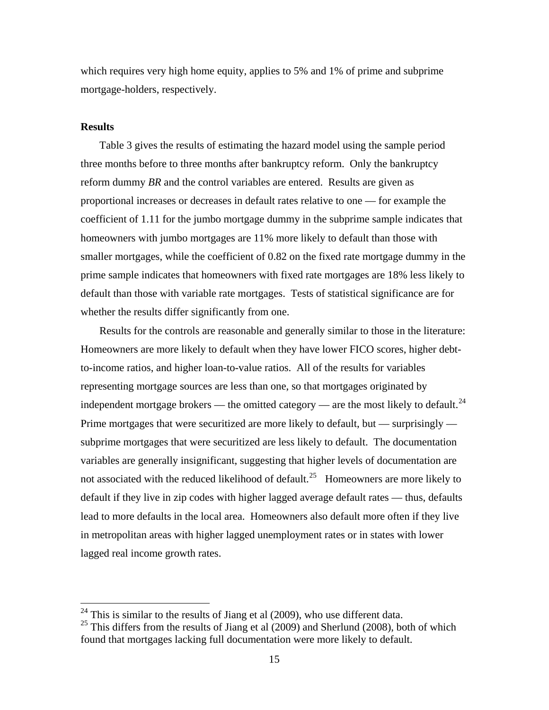which requires very high home equity, applies to 5% and 1% of prime and subprime mortgage-holders, respectively.

#### **Results**

 $\overline{a}$ 

 Table 3 gives the results of estimating the hazard model using the sample period three months before to three months after bankruptcy reform. Only the bankruptcy reform dummy *BR* and the control variables are entered. Results are given as proportional increases or decreases in default rates relative to one — for example the coefficient of 1.11 for the jumbo mortgage dummy in the subprime sample indicates that homeowners with jumbo mortgages are 11% more likely to default than those with smaller mortgages, while the coefficient of 0.82 on the fixed rate mortgage dummy in the prime sample indicates that homeowners with fixed rate mortgages are 18% less likely to default than those with variable rate mortgages. Tests of statistical significance are for whether the results differ significantly from one.

 Results for the controls are reasonable and generally similar to those in the literature: Homeowners are more likely to default when they have lower FICO scores, higher debtto-income ratios, and higher loan-to-value ratios. All of the results for variables representing mortgage sources are less than one, so that mortgages originated by independent mortgage brokers — the omitted category — are the most likely to default.<sup>[24](#page-16-0)</sup> Prime mortgages that were securitized are more likely to default, but — surprisingly subprime mortgages that were securitized are less likely to default. The documentation variables are generally insignificant, suggesting that higher levels of documentation are not associated with the reduced likelihood of default.<sup>[25](#page-16-1)</sup> Homeowners are more likely to default if they live in zip codes with higher lagged average default rates — thus, defaults lead to more defaults in the local area. Homeowners also default more often if they live in metropolitan areas with higher lagged unemployment rates or in states with lower lagged real income growth rates.

<span id="page-16-0"></span> $24$  This is similar to the results of Jiang et al (2009), who use different data.

<span id="page-16-1"></span> $25$  This differs from the results of Jiang et al (2009) and Sherlund (2008), both of which found that mortgages lacking full documentation were more likely to default.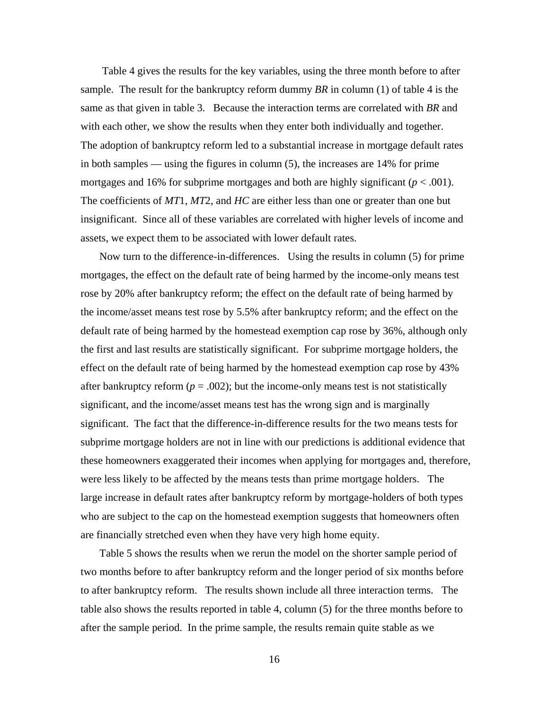Table 4 gives the results for the key variables, using the three month before to after sample. The result for the bankruptcy reform dummy *BR* in column (1) of table 4 is the same as that given in table 3. Because the interaction terms are correlated with *BR* and with each other, we show the results when they enter both individually and together. The adoption of bankruptcy reform led to a substantial increase in mortgage default rates in both samples — using the figures in column (5), the increases are 14% for prime mortgages and 16% for subprime mortgages and both are highly significant ( $p < .001$ ). The coefficients of *MT*1, *MT*2, and *HC* are either less than one or greater than one but insignificant. Since all of these variables are correlated with higher levels of income and assets, we expect them to be associated with lower default rates.

 Now turn to the difference-in-differences. Using the results in column (5) for prime mortgages, the effect on the default rate of being harmed by the income-only means test rose by 20% after bankruptcy reform; the effect on the default rate of being harmed by the income/asset means test rose by 5.5% after bankruptcy reform; and the effect on the default rate of being harmed by the homestead exemption cap rose by 36%, although only the first and last results are statistically significant. For subprime mortgage holders, the effect on the default rate of being harmed by the homestead exemption cap rose by 43% after bankruptcy reform  $(p = .002)$ ; but the income-only means test is not statistically significant, and the income/asset means test has the wrong sign and is marginally significant. The fact that the difference-in-difference results for the two means tests for subprime mortgage holders are not in line with our predictions is additional evidence that these homeowners exaggerated their incomes when applying for mortgages and, therefore, were less likely to be affected by the means tests than prime mortgage holders. The large increase in default rates after bankruptcy reform by mortgage-holders of both types who are subject to the cap on the homestead exemption suggests that homeowners often are financially stretched even when they have very high home equity.

 Table 5 shows the results when we rerun the model on the shorter sample period of two months before to after bankruptcy reform and the longer period of six months before to after bankruptcy reform. The results shown include all three interaction terms. The table also shows the results reported in table 4, column (5) for the three months before to after the sample period. In the prime sample, the results remain quite stable as we

16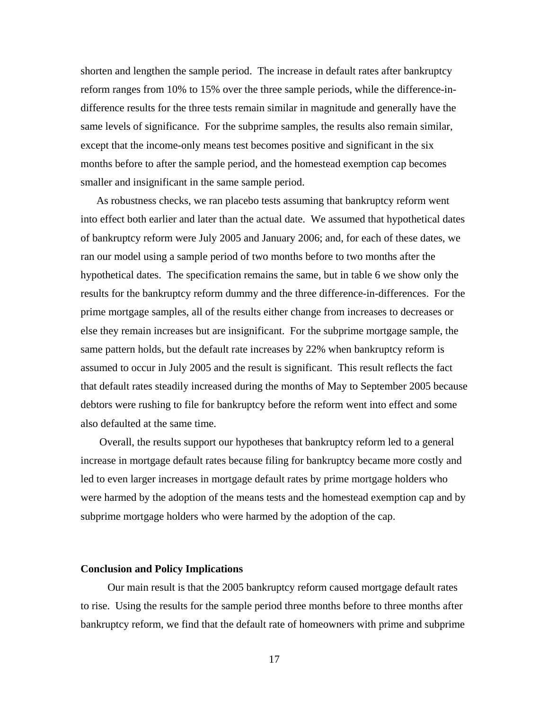shorten and lengthen the sample period. The increase in default rates after bankruptcy reform ranges from 10% to 15% over the three sample periods, while the difference-indifference results for the three tests remain similar in magnitude and generally have the same levels of significance. For the subprime samples, the results also remain similar, except that the income-only means test becomes positive and significant in the six months before to after the sample period, and the homestead exemption cap becomes smaller and insignificant in the same sample period.

As robustness checks, we ran placebo tests assuming that bankruptcy reform went into effect both earlier and later than the actual date. We assumed that hypothetical dates of bankruptcy reform were July 2005 and January 2006; and, for each of these dates, we ran our model using a sample period of two months before to two months after the hypothetical dates. The specification remains the same, but in table 6 we show only the results for the bankruptcy reform dummy and the three difference-in-differences. For the prime mortgage samples, all of the results either change from increases to decreases or else they remain increases but are insignificant. For the subprime mortgage sample, the same pattern holds, but the default rate increases by 22% when bankruptcy reform is assumed to occur in July 2005 and the result is significant. This result reflects the fact that default rates steadily increased during the months of May to September 2005 because debtors were rushing to file for bankruptcy before the reform went into effect and some also defaulted at the same time.

 Overall, the results support our hypotheses that bankruptcy reform led to a general increase in mortgage default rates because filing for bankruptcy became more costly and led to even larger increases in mortgage default rates by prime mortgage holders who were harmed by the adoption of the means tests and the homestead exemption cap and by subprime mortgage holders who were harmed by the adoption of the cap.

#### **Conclusion and Policy Implications**

Our main result is that the 2005 bankruptcy reform caused mortgage default rates to rise. Using the results for the sample period three months before to three months after bankruptcy reform, we find that the default rate of homeowners with prime and subprime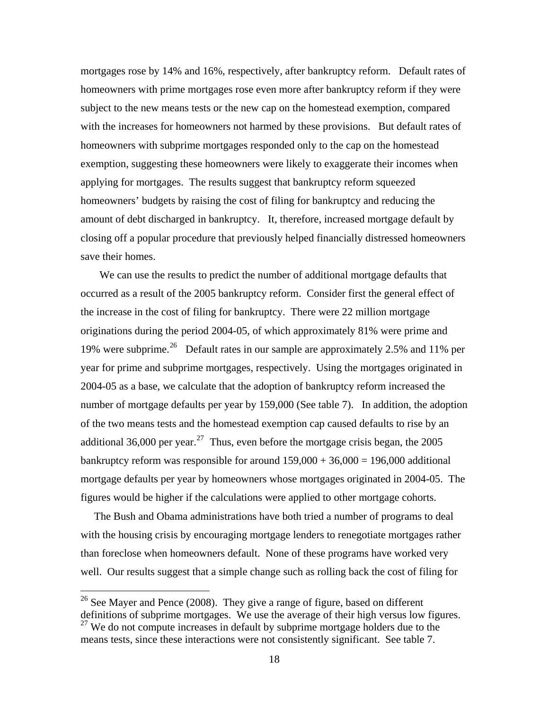mortgages rose by 14% and 16%, respectively, after bankruptcy reform. Default rates of homeowners with prime mortgages rose even more after bankruptcy reform if they were subject to the new means tests or the new cap on the homestead exemption, compared with the increases for homeowners not harmed by these provisions. But default rates of homeowners with subprime mortgages responded only to the cap on the homestead exemption, suggesting these homeowners were likely to exaggerate their incomes when applying for mortgages. The results suggest that bankruptcy reform squeezed homeowners' budgets by raising the cost of filing for bankruptcy and reducing the amount of debt discharged in bankruptcy. It, therefore, increased mortgage default by closing off a popular procedure that previously helped financially distressed homeowners save their homes.

 We can use the results to predict the number of additional mortgage defaults that occurred as a result of the 2005 bankruptcy reform. Consider first the general effect of the increase in the cost of filing for bankruptcy. There were 22 million mortgage originations during the period 2004-05, of which approximately 81% were prime and 19% were subprime.[26](#page-19-0) Default rates in our sample are approximately 2.5% and 11% per year for prime and subprime mortgages, respectively. Using the mortgages originated in 2004-05 as a base, we calculate that the adoption of bankruptcy reform increased the number of mortgage defaults per year by 159,000 (See table 7). In addition, the adoption of the two means tests and the homestead exemption cap caused defaults to rise by an additional 36,000 per year.<sup>[27](#page-19-1)</sup> Thus, even before the mortgage crisis began, the 2005 bankruptcy reform was responsible for around  $159,000 + 36,000 = 196,000$  additional mortgage defaults per year by homeowners whose mortgages originated in 2004-05. The figures would be higher if the calculations were applied to other mortgage cohorts.

 The Bush and Obama administrations have both tried a number of programs to deal with the housing crisis by encouraging mortgage lenders to renegotiate mortgages rather than foreclose when homeowners default. None of these programs have worked very well. Our results suggest that a simple change such as rolling back the cost of filing for

<span id="page-19-1"></span><span id="page-19-0"></span> $26$  See Mayer and Pence (2008). They give a range of figure, based on different definitions of subprime mortgages. We use the average of their high versus low figures.  $27$  We do not compute increases in default by subprime mortgage holders due to the means tests, since these interactions were not consistently significant. See table 7.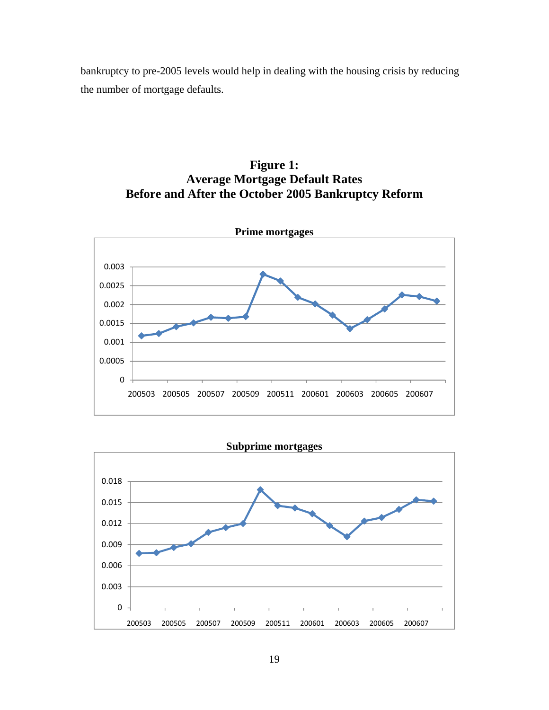bankruptcy to pre-2005 levels would help in dealing with the housing crisis by reducing the number of mortgage defaults.







19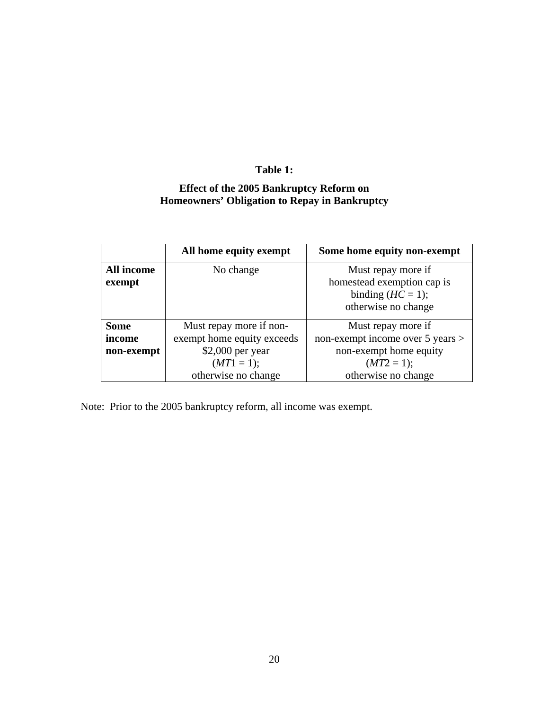# **Table 1:**

# **Effect of the 2005 Bankruptcy Reform on Homeowners' Obligation to Repay in Bankruptcy**

|                   | All home equity exempt     | Some home equity non-exempt      |
|-------------------|----------------------------|----------------------------------|
| <b>All income</b> | No change                  | Must repay more if               |
| exempt            |                            | homestead exemption cap is       |
|                   |                            | binding $(HC = 1)$ ;             |
|                   |                            | otherwise no change              |
| <b>Some</b>       | Must repay more if non-    | Must repay more if               |
| income            | exempt home equity exceeds | non-exempt income over 5 years > |
| non-exempt        | $$2,000$ per year          | non-exempt home equity           |
|                   | $(MT1 = 1);$               | $(MT2 = 1);$                     |
|                   | otherwise no change        | otherwise no change              |

Note: Prior to the 2005 bankruptcy reform, all income was exempt.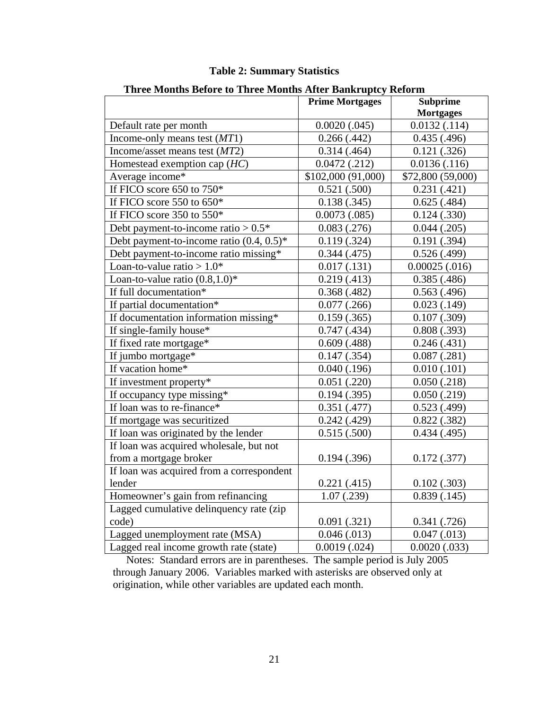| Three Months Before to Three Months After Bankruptcy Reform |                        |                   |
|-------------------------------------------------------------|------------------------|-------------------|
|                                                             | <b>Prime Mortgages</b> | <b>Subprime</b>   |
|                                                             |                        | <b>Mortgages</b>  |
| Default rate per month                                      | $0.0020$ $(.045)$      | 0.0132(.114)      |
| Income-only means test $(MT1)$                              | 0.266(.442)            | 0.435(0.496)      |
| Income/asset means test $(MT2)$                             | 0.314(0.464)           | 0.121(.326)       |
| Homestead exemption cap $(HC)$                              | 0.0472(0.212)          | 0.0136(.116)      |
| Average income*                                             | \$102,000 (91,000)     | \$72,800 (59,000) |
| If FICO score 650 to 750*                                   | 0.521(.500)            | 0.231(0.421)      |
| If FICO score 550 to $650*$                                 | 0.138(.345)            | 0.625(.484)       |
| If FICO score $350$ to $550*$                               | 0.0073(0.085)          | $0.124$ $(.330)$  |
| Debt payment-to-income ratio $> 0.5*$                       | 0.083(0.276)           | $0.044$ $(.205)$  |
| Debt payment-to-income ratio $(0.4, 0.5)^*$                 | 0.119(.324)            | 0.191(.394)       |
| Debt payment-to-income ratio missing*                       | 0.344(0.475)           | 0.526(.499)       |
| Loan-to-value ratio $> 1.0*$                                | 0.017(0.131)           | $0.00025$ (.016)  |
| Loan-to-value ratio $(0.8, 1.0)$ *                          | 0.219(0.413)           | 0.385(0.486)      |
| If full documentation*                                      | 0.368(.482)            | 0.563(0.496)      |
| If partial documentation*                                   | $0.077$ $(.266)$       | 0.023(0.149)      |
| If documentation information missing*                       | 0.159(.365)            | $0.107$ $(.309)$  |
| If single-family house*                                     | 0.747(0.434)           | 0.808(.393)       |
| If fixed rate mortgage*                                     | 0.609(0.488)           | 0.246(.431)       |
| If jumbo mortgage*                                          | $0.147$ $(.354)$       | 0.087(0.281)      |
| If vacation home*                                           | $0.040$ $(.196)$       | 0.010(0.101)      |
| If investment property*                                     | $0.051$ $(.220)$       | 0.050(.218)       |
| If occupancy type missing*                                  | 0.194(.395)            | 0.050(.219)       |
| If loan was to re-finance*                                  | 0.351(0.477)           | 0.523(0.499)      |
| If mortgage was securitized                                 | 0.242(0.429)           | 0.822(.382)       |
| If loan was originated by the lender                        | 0.515(.500)            | 0.434(0.495)      |
| If loan was acquired wholesale, but not                     |                        |                   |
| from a mortgage broker                                      | 0.194(.396)            | 0.172(.377)       |
| If loan was acquired from a correspondent                   |                        |                   |
| lender                                                      | 0.221(0.415)           | 0.102(.303)       |
| Homeowner's gain from refinancing                           | 1.07(0.239)            | 0.839(0.145)      |
| Lagged cumulative delinquency rate (zip                     |                        |                   |
| code)                                                       | 0.091(.321)            | 0.341(0.726)      |
| Lagged unemployment rate (MSA)                              | 0.046(0.013)           | 0.047(0.013)      |
| Lagged real income growth rate (state)                      | 0.0019(0.024)          | $0.0020$ $(.033)$ |

## **Table 2: Summary Statistics**

**Three Months Before to Three Months After Bankruptcy Reform** 

 Notes: Standard errors are in parentheses. The sample period is July 2005 through January 2006. Variables marked with asterisks are observed only at origination, while other variables are updated each month.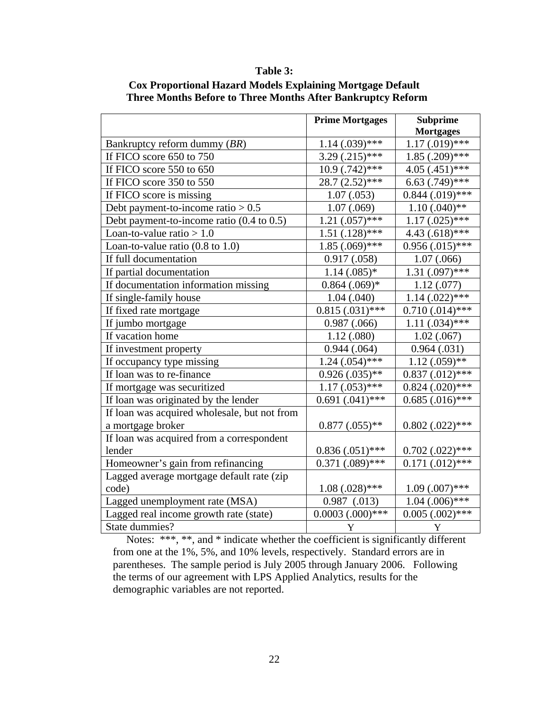### **Table 3:**

|                                                      | <b>Prime Mortgages</b> | <b>Subprime</b>      |
|------------------------------------------------------|------------------------|----------------------|
|                                                      |                        | <b>Mortgages</b>     |
| Bankruptcy reform dummy (BR)                         | $1.14 (0.039)$ ***     | $1.17(0.019)$ ***    |
| If FICO score 650 to 750                             | $3.29(.215)$ ***       | $1.85(.209)$ ***     |
| If FICO score 550 to 650                             | $10.9$ $(.742)$ ***    | $4.05$ (.451) ***    |
| If FICO score 350 to 550                             | $28.7(2.52)$ ***       | $6.63$ $(.749)$ ***  |
| If FICO score is missing                             | 1.07(0.053)            | $0.844$ (.019)***    |
| Debt payment-to-income ratio $> 0.5$                 | 1.07(.069)             | $1.10(.040)$ **      |
| Debt payment-to-income ratio $(0.4 \text{ to } 0.5)$ | $1.21(.057)$ ***       | $1.17 \,(.025)$ ***  |
| Loan-to-value ratio $> 1.0$                          | $1.51(.128)$ ***       | $4.43(.618)$ ***     |
| Loan-to-value ratio $(0.8 \text{ to } 1.0)$          | $1.85(.069)$ ***       | $0.956(0.015)$ ***   |
| If full documentation                                | 0.917(0.058)           | 1.07(0.066)          |
| If partial documentation                             | $1.14(.085)*$          | $1.31(.097)$ ***     |
| If documentation information missing                 | $0.864$ $(.069)*$      | 1.12(0.077)          |
| If single-family house                               | 1.04(0.040)            | $1.14$ $(.022)***$   |
| If fixed rate mortgage                               | $0.815(0.031)$ ***     | $0.710(.014)$ ***    |
| If jumbo mortgage                                    | 0.987(0.066)           | $1.11(.034)$ ***     |
| If vacation home                                     | 1.12(0.080)            | 1.02(.067)           |
| If investment property                               | 0.944(0.064)           | 0.964(0.031)         |
| If occupancy type missing                            | $1.24 \,(.054)$ ***    | $1.12(0.059)**$      |
| If loan was to re-finance                            | $0.926(0.035)$ **      | $0.837(0.012)$ ***   |
| If mortgage was securitized                          | $1.17 \,(.053)$ ***    | $0.824$ (.020)***    |
| If loan was originated by the lender                 | $0.691(.041)$ ***      | $0.685$ $(.016)$ *** |
| If loan was acquired wholesale, but not from         |                        |                      |
| a mortgage broker                                    | $0.877$ $(.055)**$     | $0.802$ $(.022)***$  |
| If loan was acquired from a correspondent            |                        |                      |
| lender                                               | $0.836(0.051)$ ***     | $0.702$ $(.022)***$  |
| Homeowner's gain from refinancing                    | $0.371$ $(.089)$ ***   | $0.171(0.012)$ ***   |
| Lagged average mortgage default rate (zip            |                        |                      |
| code)                                                | $1.08(.028)$ ***       | $1.09$ $(.007)$ ***  |
| Lagged unemployment rate (MSA)                       | $0.987$ $(.013)$       | $1.04$ $(.006)$ ***  |
| Lagged real income growth rate (state)               | $0.0003$ $(.000)$ ***  | $0.005$ $(.002)$ *** |
| State dummies?                                       | $\mathbf Y$            | $\mathbf Y$          |

### **Cox Proportional Hazard Models Explaining Mortgage Default Three Months Before to Three Months After Bankruptcy Reform**

 Notes: \*\*\*, \*\*, and \* indicate whether the coefficient is significantly different from one at the 1%, 5%, and 10% levels, respectively. Standard errors are in parentheses. The sample period is July 2005 through January 2006. Following the terms of our agreement with LPS Applied Analytics, results for the demographic variables are not reported.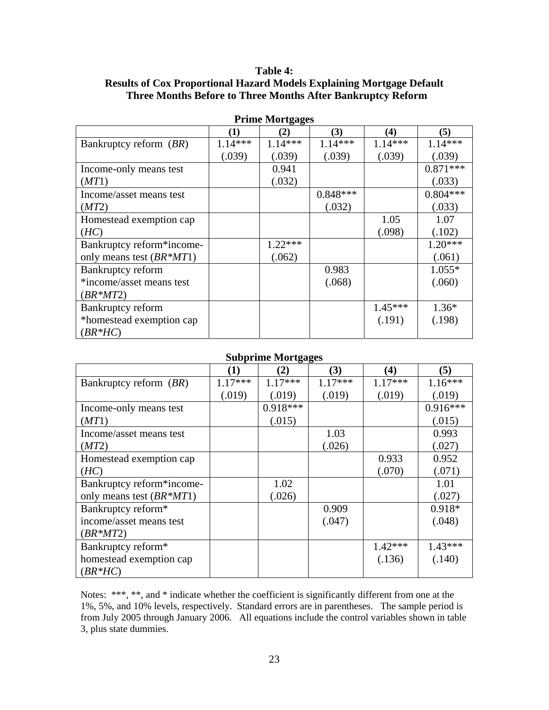### **Table 4:**

# **Results of Cox Proportional Hazard Models Explaining Mortgage Default Three Months Before to Three Months After Bankruptcy Reform**

|                            |           | - 5-5-    |            |           |            |
|----------------------------|-----------|-----------|------------|-----------|------------|
|                            | (1)       | $\bf(2)$  | (3)        | (4)       | (5)        |
| Bankruptcy reform (BR)     | $1.14***$ | $1.14***$ | $1.14***$  | $1.14***$ | $1.14***$  |
|                            | (.039)    | (.039)    | (.039)     | (.039)    | (.039)     |
| Income-only means test     |           | 0.941     |            |           | $0.871***$ |
| (MT1)                      |           | (.032)    |            |           | (.033)     |
| Income/asset means test    |           |           | $0.848***$ |           | $0.804***$ |
| (MT2)                      |           |           | (.032)     |           | (.033)     |
| Homestead exemption cap    |           |           |            | 1.05      | 1.07       |
| (HC)                       |           |           |            | (.098)    | (.102)     |
| Bankruptcy reform*income-  |           | $1.22***$ |            |           | $1.20***$  |
| only means test $(BR^*MT)$ |           | (.062)    |            |           | (.061)     |
| Bankruptcy reform          |           |           | 0.983      |           | $1.055*$   |
| *income/asset means test   |           |           | (.068)     |           | (.060)     |
| $(BR^*MT2)$                |           |           |            |           |            |
| Bankruptcy reform          |           |           |            | $1.45***$ | $1.36*$    |
| *homestead exemption cap   |           |           |            | (.191)    | (.198)     |
| $(BR*HC)$                  |           |           |            |           |            |

**Prime Mortgages** 

#### **Subprime Mortgages**

|                             | $\bf(1)$  | ರ್ೌ<br>(2) | (3)       | $\bf(4)$  | $\mathfrak{b}$ |
|-----------------------------|-----------|------------|-----------|-----------|----------------|
| Bankruptcy reform (BR)      | $1.17***$ | $1.17***$  | $1.17***$ | $1.17***$ | $1.16***$      |
|                             | (.019)    | (.019)     | (.019)    | (.019)    | (.019)         |
| Income-only means test      |           | $0.918***$ |           |           | $0.916***$     |
| (MT1)                       |           | (.015)     |           |           | (.015)         |
| Income/asset means test     |           |            | 1.03      |           | 0.993          |
| (MT2)                       |           |            | (.026)    |           | (.027)         |
| Homestead exemption cap     |           |            |           | 0.933     | 0.952          |
| (HC)                        |           |            |           | (.070)    | (.071)         |
| Bankruptcy reform*income-   |           | 1.02       |           |           | 1.01           |
| only means test $(BR^*MT1)$ |           | (.026)     |           |           | (.027)         |
| Bankruptcy reform*          |           |            | 0.909     |           | $0.918*$       |
| income/asset means test     |           |            | (.047)    |           | (.048)         |
| $(BR^*MT2)$                 |           |            |           |           |                |
| Bankruptcy reform*          |           |            |           | $1.42***$ | $1.43***$      |
| homestead exemption cap     |           |            |           | (.136)    | (.140)         |
| $(BR*HC)$                   |           |            |           |           |                |

Notes: \*\*\*, \*\*, and \* indicate whether the coefficient is significantly different from one at the 1%, 5%, and 10% levels, respectively. Standard errors are in parentheses. The sample period is from July 2005 through January 2006. All equations include the control variables shown in table 3, plus state dummies.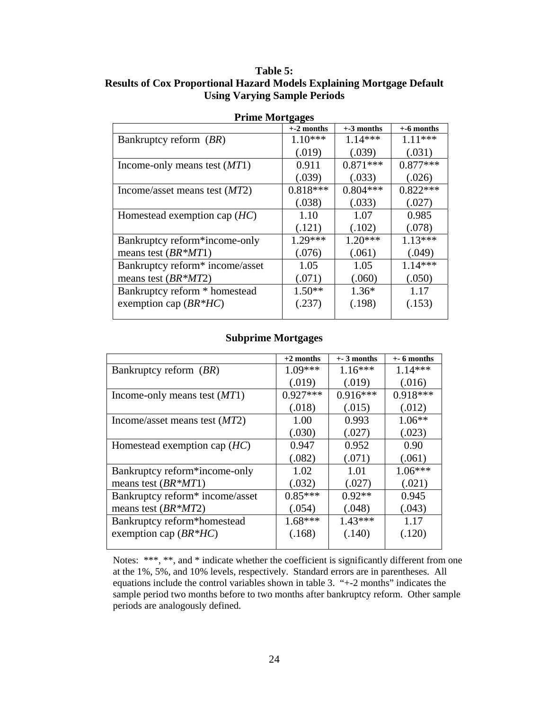| <b>Prime Mortgages</b>          |             |             |               |  |  |  |  |
|---------------------------------|-------------|-------------|---------------|--|--|--|--|
|                                 | $+2$ months | $+3$ months | $+$ -6 months |  |  |  |  |
| Bankruptcy reform (BR)          | $1.10***$   | $1.14***$   | $1.11***$     |  |  |  |  |
|                                 | (.019)      | (.039)      | (.031)        |  |  |  |  |
| Income-only means test $(MT1)$  | 0.911       | $0.871***$  | $0.877***$    |  |  |  |  |
|                                 | (.039)      | (.033)      | (.026)        |  |  |  |  |
| Income/asset means test $(MT2)$ | $0.818***$  | $0.804***$  | $0.822***$    |  |  |  |  |
|                                 | (.038)      | (.033)      | (.027)        |  |  |  |  |
| Homestead exemption cap $(HC)$  | 1.10        | 1.07        | 0.985         |  |  |  |  |
|                                 | (.121)      | (.102)      | (.078)        |  |  |  |  |
| Bankruptcy reform*income-only   | $1.29***$   | $1.20***$   | $1.13***$     |  |  |  |  |
| means test $(BR^*MT)$           | (.076)      | (.061)      | (.049)        |  |  |  |  |
| Bankruptcy reform* income/asset | 1.05        | 1.05        | $1.14***$     |  |  |  |  |
| means test $(BR^*MT2)$          | (.071)      | (.060)      | (.050)        |  |  |  |  |
| Bankruptcy reform * homestead   | $1.50**$    | $1.36*$     | 1.17          |  |  |  |  |
| exemption cap $(BR^*HC)$        | (.237)      | (.198)      | (.153)        |  |  |  |  |
|                                 |             |             |               |  |  |  |  |

**Table 5: Results of Cox Proportional Hazard Models Explaining Mortgage Default Using Varying Sample Periods** 

### **Subprime Mortgages**

|                                 | $+2$ months | $+$ 3 months | $+$ - 6 months |
|---------------------------------|-------------|--------------|----------------|
| Bankruptcy reform (BR)          | $1.09***$   | $1.16***$    | $1.14***$      |
|                                 | (.019)      | (.019)       | (.016)         |
| Income-only means test $(MT1)$  | $0.927***$  | $0.916***$   | $0.918***$     |
|                                 | (.018)      | (.015)       | (.012)         |
| Income/asset means test $(MT2)$ | 1.00        | 0.993        | $1.06**$       |
|                                 | (.030)      | (.027)       | (.023)         |
| Homestead exemption cap $(HC)$  | 0.947       | 0.952        | 0.90           |
|                                 | (.082)      | (.071)       | (.061)         |
| Bankruptcy reform*income-only   | 1.02        | 1.01         | $1.06***$      |
| means test $(BR^*MT)$           | (.032)      | (.027)       | (.021)         |
| Bankruptcy reform* income/asset | $0.85***$   | $0.92**$     | 0.945          |
| means test $(BR^*MT2)$          | (.054)      | (.048)       | (.043)         |
| Bankruptcy reform*homestead     | $1.68***$   | $1.43***$    | 1.17           |
| exemption cap $(BR^*HC)$        | (.168)      | (.140)       | (.120)         |
|                                 |             |              |                |

Notes: \*\*\*, \*\*, and \* indicate whether the coefficient is significantly different from one at the 1%, 5%, and 10% levels, respectively. Standard errors are in parentheses. All equations include the control variables shown in table 3. "+-2 months" indicates the sample period two months before to two months after bankruptcy reform. Other sample periods are analogously defined.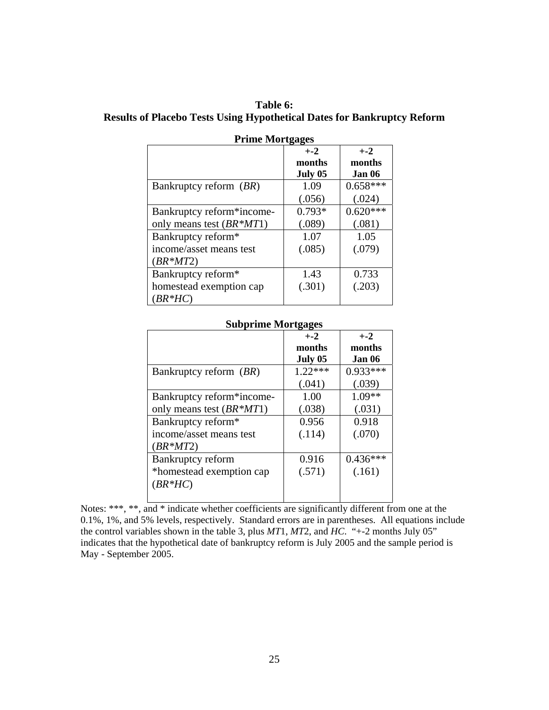| Table 6:                                                                       |
|--------------------------------------------------------------------------------|
| <b>Results of Placebo Tests Using Hypothetical Dates for Bankruptcy Reform</b> |

| Prime Mortgages            |          |            |  |  |  |
|----------------------------|----------|------------|--|--|--|
|                            | $+ -2$   | $+ -2$     |  |  |  |
|                            | months   | months     |  |  |  |
|                            | July 05  | Jan 06     |  |  |  |
| Bankruptcy reform (BR)     | 1.09     | $0.658***$ |  |  |  |
|                            | (.056)   | (.024)     |  |  |  |
| Bankruptcy reform*income-  | $0.793*$ | $0.620***$ |  |  |  |
| only means test $(BR^*MT)$ | (.089)   | (.081)     |  |  |  |
| Bankruptcy reform*         | 1.07     | 1.05       |  |  |  |
| income/asset means test    | (.085)   | (.079)     |  |  |  |
| $(BR^*MT2)$                |          |            |  |  |  |
| Bankruptcy reform*         | 1.43     | 0.733      |  |  |  |
| homestead exemption cap    | (.301)   | (.203)     |  |  |  |
| $(BR*HC)$                  |          |            |  |  |  |

**Prime Mortgages** 

### **Subprime Mortgages**

| $\sigma$ unprime 19101 (505 kg |           |            |
|--------------------------------|-----------|------------|
|                                | $+ -2$    | $+ -2$     |
|                                | months    | months     |
|                                | July 05   | Jan 06     |
| Bankruptcy reform (BR)         | $1.22***$ | $0.933***$ |
|                                | (.041)    | (.039)     |
| Bankruptcy reform*income-      | 1.00      | $1.09**$   |
| only means test $(BR^*MT)$     | (.038)    | (.031)     |
| Bankruptcy reform*             | 0.956     | 0.918      |
| income/asset means test        | (.114)    | (.070)     |
| $(BR^*MT2)$                    |           |            |
| Bankruptcy reform              | 0.916     | $0.436***$ |
| *homestead exemption cap       | (.571)    | (.161)     |
| $(BR*HC)$                      |           |            |
|                                |           |            |

Notes: \*\*\*, \*\*, and \* indicate whether coefficients are significantly different from one at the 0.1%, 1%, and 5% levels, respectively. Standard errors are in parentheses. All equations include the control variables shown in the table 3, plus *MT*1, *MT*2, and *HC*. "+-2 months July 05" indicates that the hypothetical date of bankruptcy reform is July 2005 and the sample period is May - September 2005.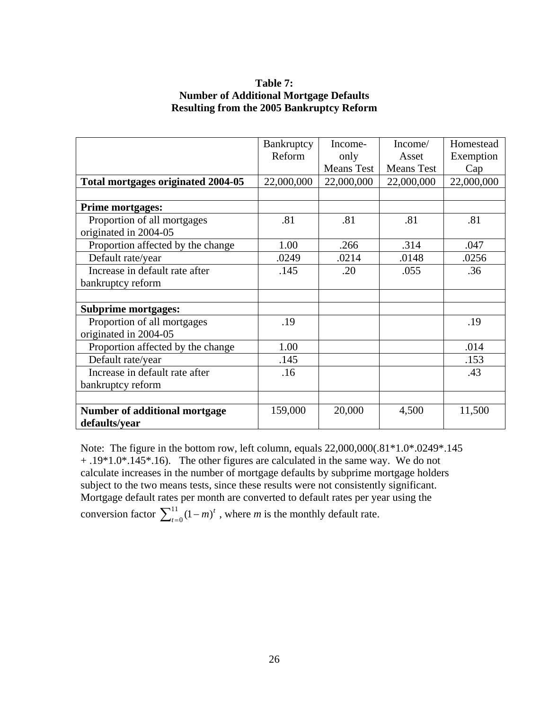### **Table 7: Number of Additional Mortgage Defaults Resulting from the 2005 Bankruptcy Reform**

|                                      | Bankruptcy | Income-           | Income/           | Homestead  |
|--------------------------------------|------------|-------------------|-------------------|------------|
|                                      | Reform     | only              | Asset             | Exemption  |
|                                      |            | <b>Means Test</b> | <b>Means Test</b> | Cap        |
| Total mortgages originated 2004-05   | 22,000,000 | 22,000,000        | 22,000,000        | 22,000,000 |
|                                      |            |                   |                   |            |
| <b>Prime mortgages:</b>              |            |                   |                   |            |
| Proportion of all mortgages          | .81        | .81               | .81               | .81        |
| originated in 2004-05                |            |                   |                   |            |
| Proportion affected by the change    | 1.00       | .266              | .314              | .047       |
| Default rate/year                    | .0249      | .0214             | .0148             | .0256      |
| Increase in default rate after       | .145       | .20               | .055              | .36        |
| bankruptcy reform                    |            |                   |                   |            |
|                                      |            |                   |                   |            |
| <b>Subprime mortgages:</b>           |            |                   |                   |            |
| Proportion of all mortgages          | .19        |                   |                   | .19        |
| originated in 2004-05                |            |                   |                   |            |
| Proportion affected by the change    | 1.00       |                   |                   | .014       |
| Default rate/year                    | .145       |                   |                   | .153       |
| Increase in default rate after       | .16        |                   |                   | .43        |
| bankruptcy reform                    |            |                   |                   |            |
|                                      |            |                   |                   |            |
| <b>Number of additional mortgage</b> | 159,000    | 20,000            | 4,500             | 11,500     |
| defaults/year                        |            |                   |                   |            |

Note: The figure in the bottom row, left column, equals 22,000,000(.81\*1.0\*.0249\*.145 + .19\*1.0\*.145\*.16). The other figures are calculated in the same way. We do not calculate increases in the number of mortgage defaults by subprime mortgage holders subject to the two means tests, since these results were not consistently significant. Mortgage default rates per month are converted to default rates per year using the conversion factor  $\sum_{t=0}^{11} (1-m)^t$ , where *m* is the monthly default rate.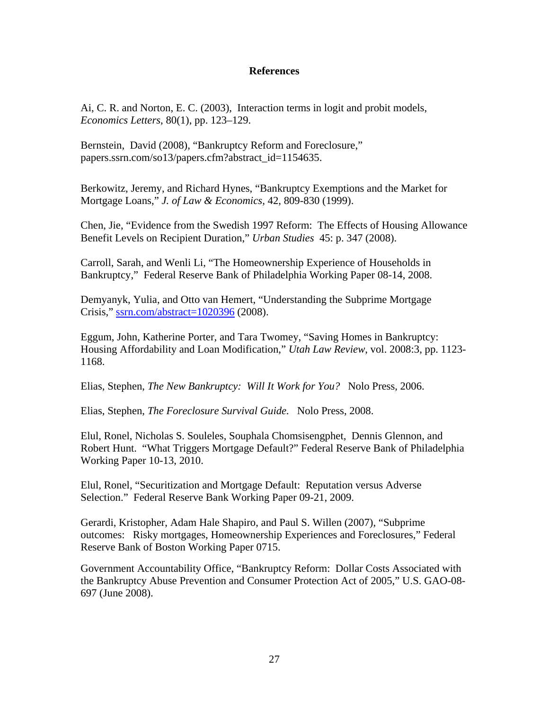### **References**

Ai, C. R. and Norton, E. C. (2003), Interaction terms in logit and probit models, *Economics Letters*, 80(1), pp. 123–129.

Bernstein, David (2008), "Bankruptcy Reform and Foreclosure," papers.ssrn.com/so13/papers.cfm?abstract\_id=1154635.

Berkowitz, Jeremy, and Richard Hynes, "Bankruptcy Exemptions and the Market for Mortgage Loans," *J. of Law & Economics*, 42, 809-830 (1999).

Chen, Jie, "Evidence from the Swedish 1997 Reform: The Effects of Housing Allowance Benefit Levels on Recipient Duration," *Urban Studies* 45: p. 347 (2008).

Carroll, Sarah, and Wenli Li, "The Homeownership Experience of Households in Bankruptcy," Federal Reserve Bank of Philadelphia Working Paper 08-14, 2008.

Demyanyk, Yulia, and Otto van Hemert, "Understanding the Subprime Mortgage Crisis," [ssrn.com/abstract=1020396](http://www.ssrn.com/abstract=1020396) (2008).

Eggum, John, Katherine Porter, and Tara Twomey, "Saving Homes in Bankruptcy: Housing Affordability and Loan Modification," *Utah Law Review*, vol. 2008:3, pp. 1123- 1168.

Elias, Stephen, *The New Bankruptcy: Will It Work for You?* Nolo Press, 2006.

Elias, Stephen, *The Foreclosure Survival Guide.* Nolo Press, 2008.

Elul, Ronel, Nicholas S. Souleles, Souphala Chomsisengphet, Dennis Glennon, and Robert Hunt. "What Triggers Mortgage Default?" Federal Reserve Bank of Philadelphia Working Paper 10-13, 2010.

Elul, Ronel, "Securitization and Mortgage Default: Reputation versus Adverse Selection." Federal Reserve Bank Working Paper 09-21, 2009.

Gerardi, Kristopher, Adam Hale Shapiro, and Paul S. Willen (2007), "Subprime outcomes: Risky mortgages, Homeownership Experiences and Foreclosures," Federal Reserve Bank of Boston Working Paper 0715.

Government Accountability Office, "Bankruptcy Reform: Dollar Costs Associated with the Bankruptcy Abuse Prevention and Consumer Protection Act of 2005," U.S. GAO-08- 697 (June 2008).